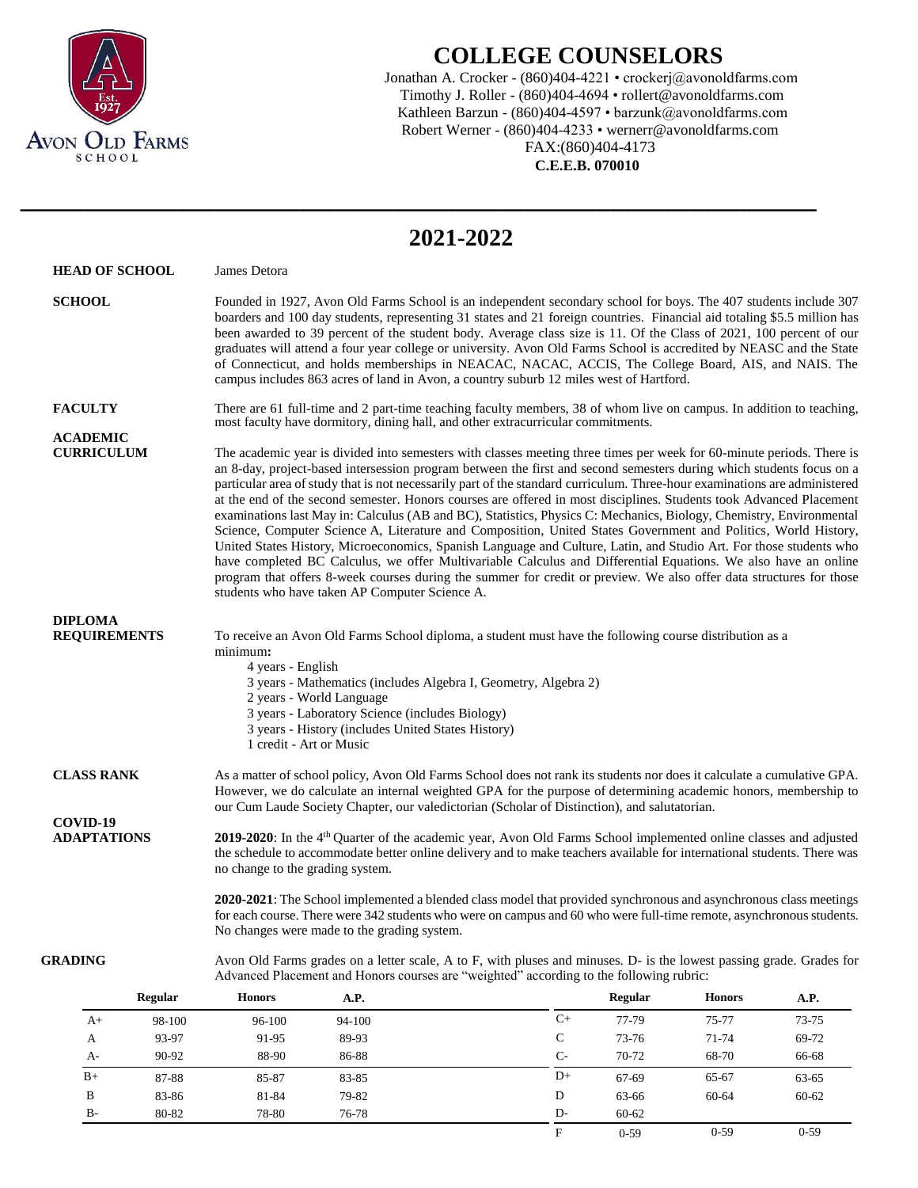

## **COLLEGE COUNSELORS**

Jonathan A. Crocker - (860)404-4221 • crockerj@avonoldfarms.com Timothy J. Roller - (860)404-4694 • rollert@avonoldfarms.com Kathleen Barzun - (860)404-4597 • barzunk@avonoldfarms.com Robert Werner - (860)404-4233 • wernerr@avonoldfarms.com FAX:(860)404-4173

 **C.E.E.B. 070010**

F 0-59 0-59 0-59

|                                       |                |                                                                                                                                                                                                                                                                                                                                                                                                                                                                                                                                                                                                                                                                                                                                                                                                                                                                                                                                                                                                                                                                                                                                                              |                                             | 2021-2022                                                                                                                                                                                                                                 |              |                |               |       |  |  |  |  |
|---------------------------------------|----------------|--------------------------------------------------------------------------------------------------------------------------------------------------------------------------------------------------------------------------------------------------------------------------------------------------------------------------------------------------------------------------------------------------------------------------------------------------------------------------------------------------------------------------------------------------------------------------------------------------------------------------------------------------------------------------------------------------------------------------------------------------------------------------------------------------------------------------------------------------------------------------------------------------------------------------------------------------------------------------------------------------------------------------------------------------------------------------------------------------------------------------------------------------------------|---------------------------------------------|-------------------------------------------------------------------------------------------------------------------------------------------------------------------------------------------------------------------------------------------|--------------|----------------|---------------|-------|--|--|--|--|
| <b>HEAD OF SCHOOL</b>                 |                | James Detora                                                                                                                                                                                                                                                                                                                                                                                                                                                                                                                                                                                                                                                                                                                                                                                                                                                                                                                                                                                                                                                                                                                                                 |                                             |                                                                                                                                                                                                                                           |              |                |               |       |  |  |  |  |
| <b>SCHOOL</b>                         |                | Founded in 1927, Avon Old Farms School is an independent secondary school for boys. The 407 students include 307<br>boarders and 100 day students, representing 31 states and 21 foreign countries. Financial aid totaling \$5.5 million has<br>been awarded to 39 percent of the student body. Average class size is 11. Of the Class of 2021, 100 percent of our<br>graduates will attend a four year college or university. Avon Old Farms School is accredited by NEASC and the State<br>of Connecticut, and holds memberships in NEACAC, NACAC, ACCIS, The College Board, AIS, and NAIS. The<br>campus includes 863 acres of land in Avon, a country suburb 12 miles west of Hartford.                                                                                                                                                                                                                                                                                                                                                                                                                                                                  |                                             |                                                                                                                                                                                                                                           |              |                |               |       |  |  |  |  |
| <b>FACULTY</b>                        |                | There are 61 full-time and 2 part-time teaching faculty members, 38 of whom live on campus. In addition to teaching,<br>most faculty have dormitory, dining hall, and other extracurricular commitments.                                                                                                                                                                                                                                                                                                                                                                                                                                                                                                                                                                                                                                                                                                                                                                                                                                                                                                                                                     |                                             |                                                                                                                                                                                                                                           |              |                |               |       |  |  |  |  |
| <b>ACADEMIC</b><br><b>CURRICULUM</b>  |                | The academic year is divided into semesters with classes meeting three times per week for 60-minute periods. There is<br>an 8-day, project-based intersession program between the first and second semesters during which students focus on a<br>particular area of study that is not necessarily part of the standard curriculum. Three-hour examinations are administered<br>at the end of the second semester. Honors courses are offered in most disciplines. Students took Advanced Placement<br>examinations last May in: Calculus (AB and BC), Statistics, Physics C: Mechanics, Biology, Chemistry, Environmental<br>Science, Computer Science A, Literature and Composition, United States Government and Politics, World History,<br>United States History, Microeconomics, Spanish Language and Culture, Latin, and Studio Art. For those students who<br>have completed BC Calculus, we offer Multivariable Calculus and Differential Equations. We also have an online<br>program that offers 8-week courses during the summer for credit or preview. We also offer data structures for those<br>students who have taken AP Computer Science A. |                                             |                                                                                                                                                                                                                                           |              |                |               |       |  |  |  |  |
| <b>DIPLOMA</b><br><b>REQUIREMENTS</b> |                | To receive an Avon Old Farms School diploma, a student must have the following course distribution as a<br>minimum:<br>4 years - English<br>3 years - Mathematics (includes Algebra I, Geometry, Algebra 2)<br>2 years - World Language<br>3 years - Laboratory Science (includes Biology)<br>3 years - History (includes United States History)<br>1 credit - Art or Music                                                                                                                                                                                                                                                                                                                                                                                                                                                                                                                                                                                                                                                                                                                                                                                  |                                             |                                                                                                                                                                                                                                           |              |                |               |       |  |  |  |  |
| <b>CLASS RANK</b>                     |                |                                                                                                                                                                                                                                                                                                                                                                                                                                                                                                                                                                                                                                                                                                                                                                                                                                                                                                                                                                                                                                                                                                                                                              |                                             | As a matter of school policy, Avon Old Farms School does not rank its students nor does it calculate a cumulative GPA.<br>However, we do calculate an internal weighted GPA for the purpose of determining academic honors, membership to |              |                |               |       |  |  |  |  |
| COVID-19<br><b>ADAPTATIONS</b>        |                | our Cum Laude Society Chapter, our valedictorian (Scholar of Distinction), and salutatorian.<br>2019-2020: In the 4 <sup>th</sup> Quarter of the academic year, Avon Old Farms School implemented online classes and adjusted<br>the schedule to accommodate better online delivery and to make teachers available for international students. There was<br>no change to the grading system.                                                                                                                                                                                                                                                                                                                                                                                                                                                                                                                                                                                                                                                                                                                                                                 |                                             |                                                                                                                                                                                                                                           |              |                |               |       |  |  |  |  |
|                                       |                |                                                                                                                                                                                                                                                                                                                                                                                                                                                                                                                                                                                                                                                                                                                                                                                                                                                                                                                                                                                                                                                                                                                                                              | No changes were made to the grading system. | 2020-2021: The School implemented a blended class model that provided synchronous and asynchronous class meetings<br>for each course. There were 342 students who were on campus and 60 who were full-time remote, asynchronous students. |              |                |               |       |  |  |  |  |
| GRADING                               |                |                                                                                                                                                                                                                                                                                                                                                                                                                                                                                                                                                                                                                                                                                                                                                                                                                                                                                                                                                                                                                                                                                                                                                              |                                             | Avon Old Farms grades on a letter scale, A to F, with pluses and minuses. D- is the lowest passing grade. Grades for<br>Advanced Placement and Honors courses are "weighted" according to the following rubric:                           |              |                |               |       |  |  |  |  |
|                                       | <b>Regular</b> | <b>Honors</b>                                                                                                                                                                                                                                                                                                                                                                                                                                                                                                                                                                                                                                                                                                                                                                                                                                                                                                                                                                                                                                                                                                                                                | A.P.                                        |                                                                                                                                                                                                                                           |              | <b>Regular</b> | <b>Honors</b> | A.P.  |  |  |  |  |
| $A+$                                  | 98-100         | 96-100                                                                                                                                                                                                                                                                                                                                                                                                                                                                                                                                                                                                                                                                                                                                                                                                                                                                                                                                                                                                                                                                                                                                                       | 94-100                                      |                                                                                                                                                                                                                                           | $C+$         | 77-79          | 75-77         | 73-75 |  |  |  |  |
| A                                     | 93-97          | 91-95                                                                                                                                                                                                                                                                                                                                                                                                                                                                                                                                                                                                                                                                                                                                                                                                                                                                                                                                                                                                                                                                                                                                                        | 89-93                                       |                                                                                                                                                                                                                                           | $\mathsf{C}$ | 73-76          | 71-74         | 69-72 |  |  |  |  |
| A-                                    | 90-92          | 88-90                                                                                                                                                                                                                                                                                                                                                                                                                                                                                                                                                                                                                                                                                                                                                                                                                                                                                                                                                                                                                                                                                                                                                        | 86-88                                       |                                                                                                                                                                                                                                           | $C-$         | 70-72          | 68-70         | 66-68 |  |  |  |  |
| $B+$                                  | 87-88          | 85-87                                                                                                                                                                                                                                                                                                                                                                                                                                                                                                                                                                                                                                                                                                                                                                                                                                                                                                                                                                                                                                                                                                                                                        | 83-85                                       |                                                                                                                                                                                                                                           | $D+$         | 67-69          | 65-67         | 63-65 |  |  |  |  |
| $\, {\bf B}$                          | 83-86          | 81-84                                                                                                                                                                                                                                                                                                                                                                                                                                                                                                                                                                                                                                                                                                                                                                                                                                                                                                                                                                                                                                                                                                                                                        | 79-82                                       |                                                                                                                                                                                                                                           | $\mathbf D$  | 63-66          | 60-64         | 60-62 |  |  |  |  |

B- 80-82 78-80 76-78 D- 60-62

**\_\_\_\_\_\_\_\_\_\_\_\_\_\_\_\_\_\_\_\_\_\_\_\_\_\_\_\_\_\_\_\_\_\_\_\_\_\_\_\_\_\_\_\_\_\_\_\_\_\_\_\_\_\_\_\_\_\_\_**